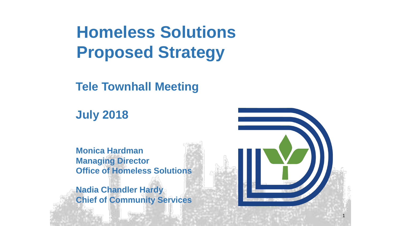## **Homeless Solutions Proposed Strategy**

**Tele Townhall Meeting**

**July 2018**

**Monica Hardman Managing Director Office of Homeless Solutions**

**Nadia Chandler Hardy Chief of Community Services**



1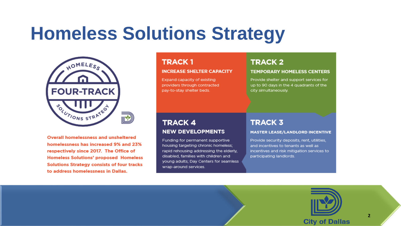

**Overall homelessness and unsheltered** homelessness has increased 9% and 23% respectively since 2017. The Office of **Homeless Solutions' proposed Homeless Solutions Strategy consists of four tracks** to address homelessness in Dallas.

#### **TRACK1**

#### **INCREASE SHELTER CAPACITY**

Expand capacity of existing providers through contracted pay-to-stay shelter beds.

### **TRACK 2**

#### **TEMPORARY HOMELESS CENTERS**

Provide shelter and support services for up to 90 days in the 4 quadrants of the city simultaneously.

#### **TRACK 4 NEW DEVELOPMENTS**

Funding for permanent supportive housing targeting chronic homeless; rapid rehousing addressing the elderly, disabled, families with children and young adults; Day Centers for seamless wrap-around services.

### **TRACK 3**

#### **MASTER LEASE/LANDLORD INCENTIVE**

Provide security deposits, rent, utilities, and incentives to tenants as well as incentives and risk mitigation services to participating landlords.

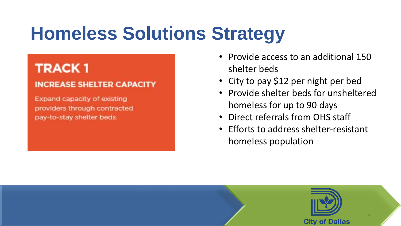### **TRACK1**

### **INCREASE SHELTER CAPACITY**

Expand capacity of existing providers through contracted pay-to-stay shelter beds.

- Provide access to an additional 150 shelter beds
- City to pay \$12 per night per bed
- Provide shelter beds for unsheltered homeless for up to 90 days
- Direct referrals from OHS staff
- Efforts to address shelter-resistant homeless population

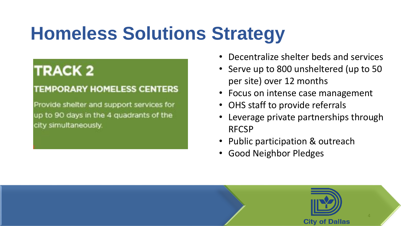### **TRACK 2**

### **TEMPORARY HOMELESS CENTERS**

Provide shelter and support services for up to 90 days in the 4 quadrants of the city simultaneously.

- Decentralize shelter beds and services
- Serve up to 800 unsheltered (up to 50 per site) over 12 months
- Focus on intense case management
- OHS staff to provide referrals
- Leverage private partnerships through RFCSP
- Public participation & outreach
- Good Neighbor Pledges

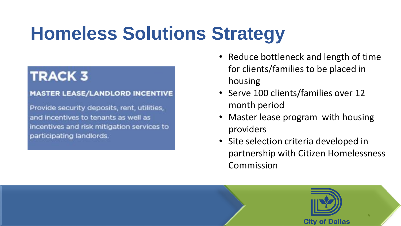### **TRACK 3**

#### **MASTER LEASE/LANDLORD INCENTIVE**

Provide security deposits, rent, utilities, and incentives to tenants as well as incentives and risk mitigation services to participating landlords.

- Reduce bottleneck and length of time for clients/families to be placed in housing
- Serve 100 clients/families over 12 month period
- Master lease program with housing providers
- Site selection criteria developed in partnership with Citizen Homelessness Commission

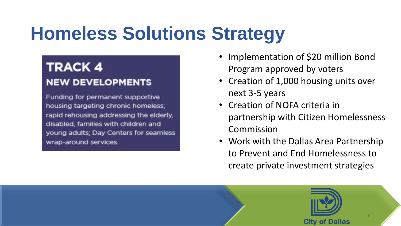### **TRACK 4 NEW DEVELOPMENTS**

Funding for permanent supportive housing targeting chronic homeless; rapid rehousing addressing the elderly, disabled, families with children and young adults; Day Centers for seamless wrap-around services.

- Implementation of \$20 million Bond Program approved by voters
- Creation of 1,000 housing units over next 3-5 years
- Creation of NOFA criteria in partnership with Citizen Homelessness Commission
- Work with the Dallas Area Partnership to Prevent and End Homelessness to create private investment strategies